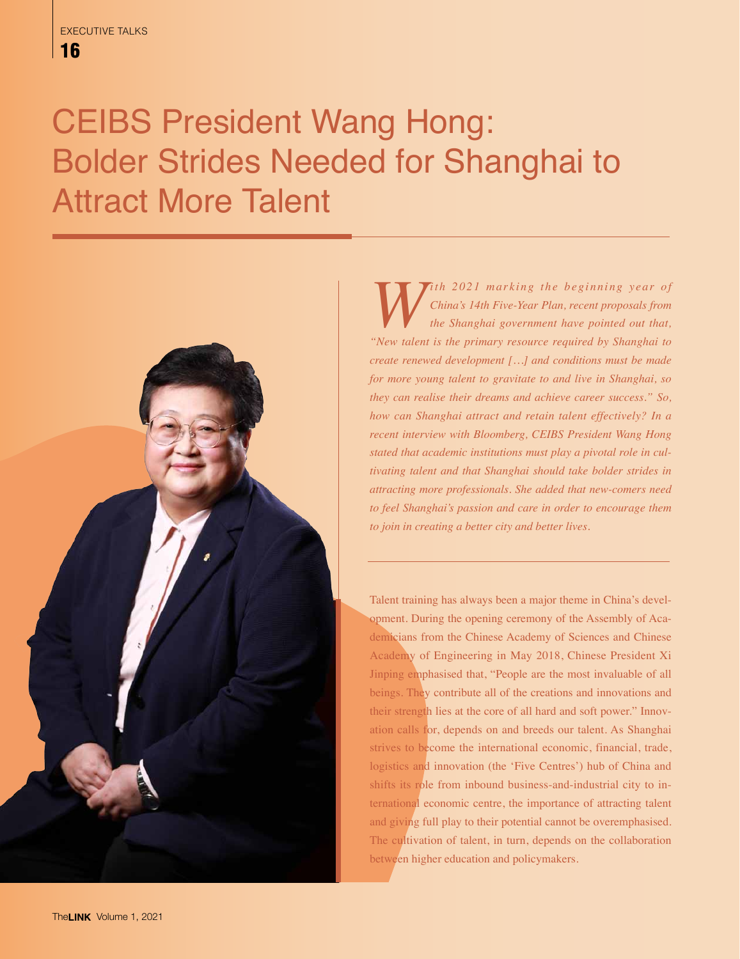## CEIBS President Wang Hong: Bolder Strides Needed for Shanghai to Attract More Talent



*W ith 2021 marking the beginning year of* China's 14th Five-Year Plan, recent proposals from the Shanghai government have pointed out that, "New talent is the primary resource required by Shanghai to *China's 14th Five-Year Plan, recent proposals from the Shanghai government have pointed out that, "New talent is the primary resource required by Shanghai to create renewed development […] and conditions must be made for more young talent to gravitate to and live in Shanghai, so they can realise their dreams and achieve career success." So, how can Shanghai attract and retain talent effectively? In a recent interview with Bloomberg, CEIBS President Wang Hong stated that academic institutions must play a pivotal role in cultivating talent and that Shanghai should take bolder strides in attracting more professionals. She added that new-comers need to feel Shanghai's passion and care in order to encourage them to join in creating a better city and better lives.*

Talent training has always been a major theme in China's development. During the opening ceremony of the Assembly of Academicians from the Chinese Academy of Sciences and Chinese Academy of Engineering in May 2018, Chinese President Xi Jinping emphasised that, "People are the most invaluable of all beings. They contribute all of the creations and innovations and their strength lies at the core of all hard and soft power." Innovation calls for, depends on and breeds our talent. As Shanghai strives to become the international economic, financial, trade, logistics and innovation (the 'Five Centres') hub of China and shifts its role from inbound business-and-industrial city to international economic centre, the importance of attracting talent and giving full play to their potential cannot be overemphasised. The cultivation of talent, in turn, depends on the collaboration between higher education and policymakers.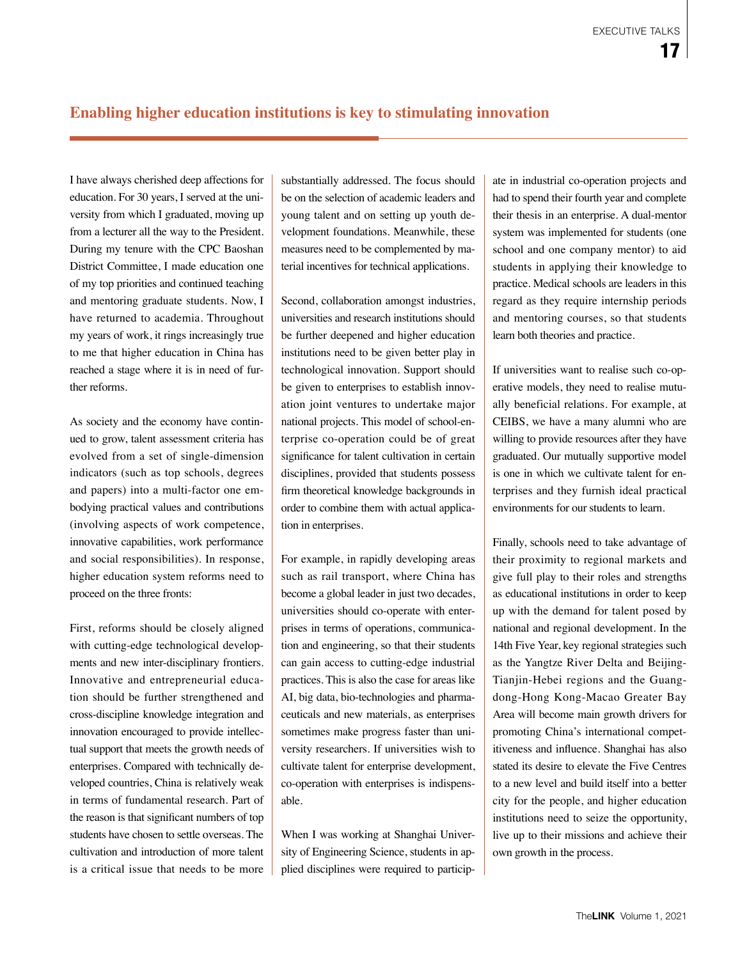## **Enabling higher education institutions is key to stimulating innovation**

I have always cherished deep affections for education. For 30 years, I served at the university from which I graduated, moving up from a lecturer all the way to the President. During my tenure with the CPC Baoshan District Committee, I made education one of my top priorities and continued teaching and mentoring graduate students. Now, I have returned to academia. Throughout my years of work, it rings increasingly true to me that higher education in China has reached a stage where it is in need of further reforms.

As society and the economy have continued to grow, talent assessment criteria has evolved from a set of single-dimension indicators (such as top schools, degrees and papers) into a multi-factor one embodying practical values and contributions (involving aspects of work competence, innovative capabilities, work performance and social responsibilities). In response, higher education system reforms need to proceed on the three fronts:

First, reforms should be closely aligned with cutting-edge technological developments and new inter-disciplinary frontiers. Innovative and entrepreneurial education should be further strengthened and cross-discipline knowledge integration and innovation encouraged to provide intellectual support that meets the growth needs of enterprises. Compared with technically developed countries, China is relatively weak in terms of fundamental research. Part of the reason is that significant numbers of top students have chosen to settle overseas. The cultivation and introduction of more talent is a critical issue that needs to be more substantially addressed. The focus should be on the selection of academic leaders and young talent and on setting up youth development foundations. Meanwhile, these measures need to be complemented by material incentives for technical applications.

Second, collaboration amongst industries, universities and research institutions should be further deepened and higher education institutions need to be given better play in technological innovation. Support should be given to enterprises to establish innovation joint ventures to undertake major national projects. This model of school-enterprise co-operation could be of great significance for talent cultivation in certain disciplines, provided that students possess firm theoretical knowledge backgrounds in order to combine them with actual application in enterprises.

For example, in rapidly developing areas such as rail transport, where China has become a global leader in just two decades, universities should co-operate with enterprises in terms of operations, communication and engineering, so that their students can gain access to cutting-edge industrial practices. This is also the case for areas like AI, big data, bio-technologies and pharmaceuticals and new materials, as enterprises sometimes make progress faster than university researchers. If universities wish to cultivate talent for enterprise development, co-operation with enterprises is indispensable.

When I was working at Shanghai University of Engineering Science, students in applied disciplines were required to particip-

ate in industrial co-operation projects and had to spend their fourth year and complete their thesis in an enterprise. A dual-mentor system was implemented for students (one school and one company mentor) to aid students in applying their knowledge to practice. Medical schools are leaders in this regard as they require internship periods and mentoring courses, so that students learn both theories and practice.

If universities want to realise such co-operative models, they need to realise mutually beneficial relations. For example, at CEIBS, we have a many alumni who are willing to provide resources after they have graduated. Our mutually supportive model is one in which we cultivate talent for enterprises and they furnish ideal practical environments for our students to learn.

Finally, schools need to take advantage of their proximity to regional markets and give full play to their roles and strengths as educational institutions in order to keep up with the demand for talent posed by national and regional development. In the 14th Five Year, key regional strategies such as the Yangtze River Delta and Beijing-Tianjin-Hebei regions and the Guangdong-Hong Kong-Macao Greater Bay Area will become main growth drivers for promoting China's international competitiveness and influence. Shanghai has also stated its desire to elevate the Five Centres to a new level and build itself into a better city for the people, and higher education institutions need to seize the opportunity, live up to their missions and achieve their own growth in the process.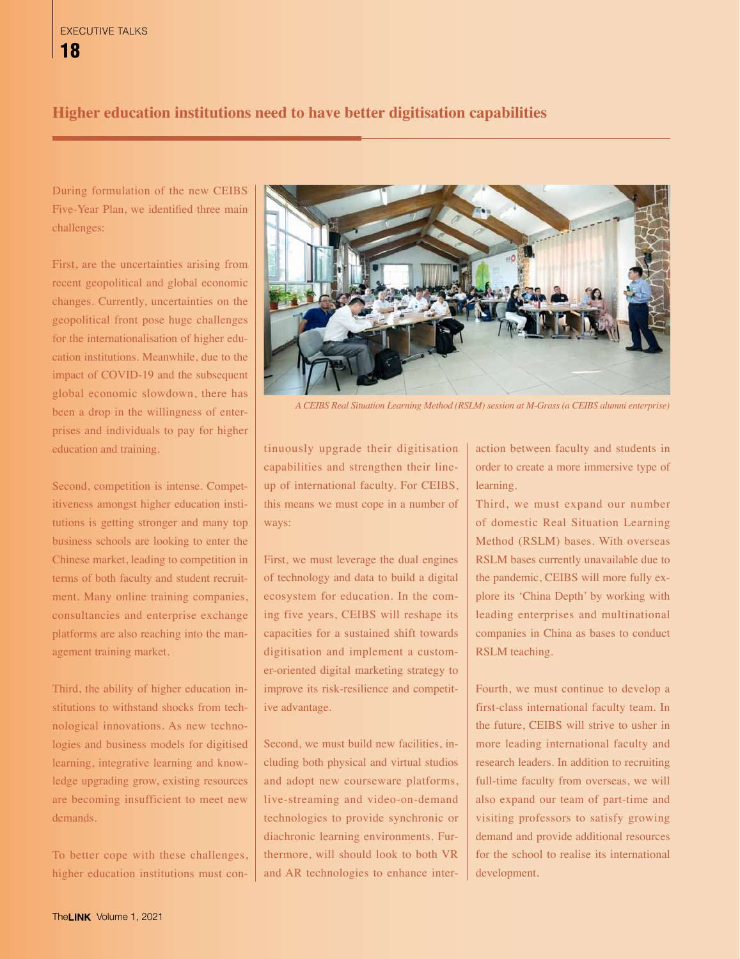## **Higher education institutions need to have better digitisation capabilities**

During formulation of the new CEIBS Five-Year Plan, we identified three main challenges:

First, are the uncertainties arising from recent geopolitical and global economic changes. Currently, uncertainties on the geopolitical front pose huge challenges for the internationalisation of higher education institutions. Meanwhile, due to the impact of COVID-19 and the subsequent global economic slowdown, there has been a drop in the willingness of enterprises and individuals to pay for higher education and training.

Second, competition is intense. Competitiveness amongst higher education institutions is getting stronger and many top business schools are looking to enter the Chinese market, leading to competition in terms of both faculty and student recruitment. Many online training companies, consultancies and enterprise exchange platforms are also reaching into the management training market.

Third, the ability of higher education institutions to withstand shocks from technological innovations. As new technologies and business models for digitised learning, integrative learning and knowledge upgrading grow, existing resources are becoming insufficient to meet new demands.

To better cope with these challenges, higher education institutions must con-



*A CEIBS Real Situation Learning Method (RSLM) session at M-Grass (a CEIBS alumni enterprise)*

tinuously upgrade their digitisation capabilities and strengthen their lineup of international faculty. For CEIBS, this means we must cope in a number of ways:

First, we must leverage the dual engines of technology and data to build a digital ecosystem for education. In the coming five years, CEIBS will reshape its capacities for a sustained shift towards digitisation and implement a customer-oriented digital marketing strategy to improve its risk-resilience and competitive advantage.

Second, we must build new facilities, including both physical and virtual studios and adopt new courseware platforms, live-streaming and video-on-demand technologies to provide synchronic or diachronic learning environments. Furthermore, will should look to both VR and AR technologies to enhance interaction between faculty and students in order to create a more immersive type of learning.

Third, we must expand our number of domestic Real Situation Learning Method (RSLM) bases. With overseas RSLM bases currently unavailable due to the pandemic, CEIBS will more fully explore its 'China Depth' by working with leading enterprises and multinational companies in China as bases to conduct RSLM teaching.

Fourth, we must continue to develop a first-class international faculty team. In the future, CEIBS will strive to usher in more leading international faculty and research leaders. In addition to recruiting full-time faculty from overseas, we will also expand our team of part-time and visiting professors to satisfy growing demand and provide additional resources for the school to realise its international development.